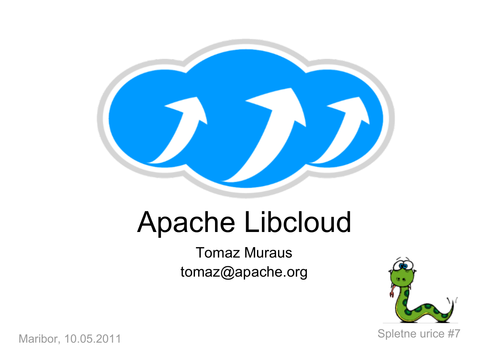

## Apache Libcloud

Tomaz Muraus tomaz@apache.org

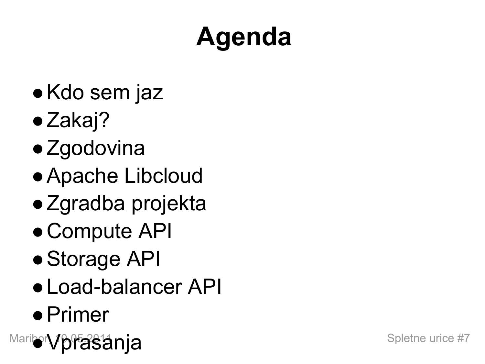## **Agenda**

- ●Kdo sem jaz
- ●Zakaj?
- Zgodovina
- ●Apache Libcloud
- ●Zgradba projekta
- Compute API
- Storage API
- ●Load-balancer API
- ●Primer
- Maribor Maribor Chean Spletne urice #7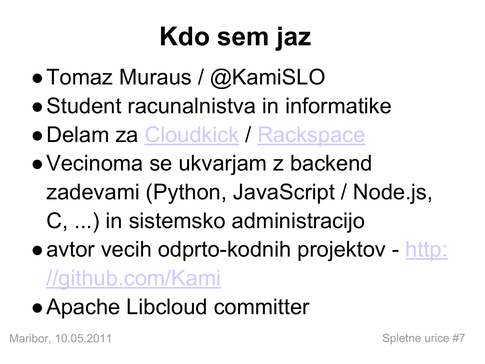## **Kdo sem jaz**

- $\bullet$  Tomaz Muraus /  $@$ KamiSLO
- ●Student racunalnistva in informatike
- ●Delam za [Cloudkick](https://www.cloudkick.com/) / [Rackspace](http://www.rackspace.com/index.php)
- ●Vecinoma se ukvarjam z backend zadevami (Python, JavaScript / Node.js, C, ...) in sistemsko administracijo
- avtor vecih odprto-kodnih projektov [http:](http://github.com/Kami) [//github.com/Kami](http://github.com/Kami)
- Apache Libcloud committer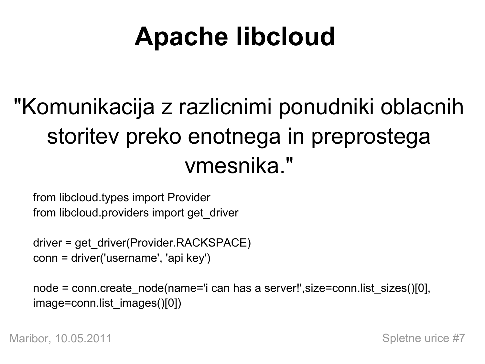### **Apache libcloud**

#### "Komunikacija z razlicnimi ponudniki oblacnih storitev preko enotnega in preprostega vmesnika."

from libcloud.types import Provider from libcloud.providers import get\_driver

driver = get\_driver(Provider.RACKSPACE) conn = driver('username', 'api key')

node = conn.create node(name='i can has a server!', size=conn.list sizes()[0], image=conn.list\_images()[0])

Maribor, 10.05.2011 **Spletne urice #7**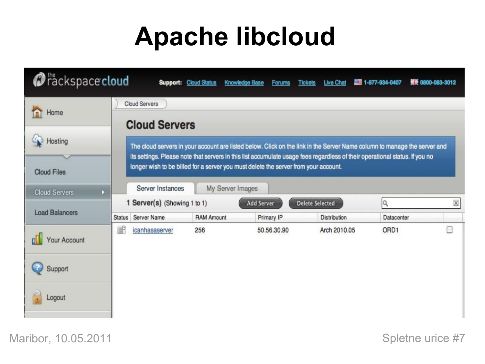#### **Apache libcloud**

| <b><i>O</i></b> rackspace cloud |                                                                                                                                                                                                                                                                                                                                                                                         | <b>Support: Cloud Status</b> | <b>Knowledge Base</b><br>Forums | <b>Live Chat</b><br><b>Tickets</b> | 1-877-934-0407 | 张 0800-083-3012         |
|---------------------------------|-----------------------------------------------------------------------------------------------------------------------------------------------------------------------------------------------------------------------------------------------------------------------------------------------------------------------------------------------------------------------------------------|------------------------------|---------------------------------|------------------------------------|----------------|-------------------------|
| Home<br>m                       | Cloud Servers<br><b>Cloud Servers</b><br>The cloud servers in your account are listed below. Click on the link in the Server Name column to manage the server and<br>its settings. Please note that servers in this list accumulate usage fees regardless of their operational status. If you no<br>longer wish to be billed for a server you must delete the server from your account. |                              |                                 |                                    |                |                         |
| Hosting                         |                                                                                                                                                                                                                                                                                                                                                                                         |                              |                                 |                                    |                |                         |
| <b>Cloud Files</b>              |                                                                                                                                                                                                                                                                                                                                                                                         |                              |                                 |                                    |                |                         |
| <b>Cloud Servers</b><br>D       | Server Instances                                                                                                                                                                                                                                                                                                                                                                        | My Server Images             |                                 |                                    |                |                         |
| <b>Load Balancers</b>           | 1 Server(s) (Showing 1 to 1)<br><b>Delete Selected</b><br><b>Add Server</b>                                                                                                                                                                                                                                                                                                             |                              |                                 |                                    | Q              | $\overline{\mathsf{X}}$ |
|                                 | <b>Server Name</b><br><b>Status</b>                                                                                                                                                                                                                                                                                                                                                     | <b>RAM Amount</b>            | Primary IP                      | <b>Distribution</b>                | Datacenter     |                         |
| Your Account                    | aP)<br>icanhasaserver                                                                                                                                                                                                                                                                                                                                                                   | 256                          | 50.56.30.90                     | Arch 2010.05                       | ORD1           | ╒╕                      |
| Support                         |                                                                                                                                                                                                                                                                                                                                                                                         |                              |                                 |                                    |                |                         |
| Logout                          |                                                                                                                                                                                                                                                                                                                                                                                         |                              |                                 |                                    |                |                         |

Maribor, 10.05.2011 Spletne urice #7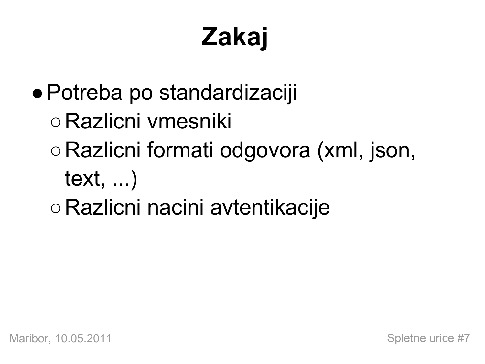## **Zakaj**

- ●Potreba po standardizaciji
	- ○Razlicni vmesniki
	- ○Razlicni formati odgovora (xml, json, text, ...)
	- ○Razlicni nacini avtentikacije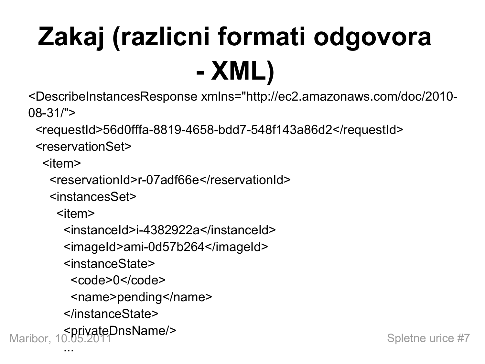# **Zakaj (razlicni formati odgovora - XML)**

<DescribeInstancesResponse xmlns="http://ec2.amazonaws.com/doc/2010- 08-31/">

<requestId>56d0fffa-8819-4658-bdd7-548f143a86d2</requestId>

<reservationSet>

<item>

<reservationId>r-07adf66e</reservationId>

<instancesSet>

<item>

<instanceId>i-4382922a</instanceId>

<imageId>ami-0d57b264</imageId>

<instanceState>

<code>0</code>

<name>pending</name>

</instanceState>

Maribor,  $10.05.2011$  Net take  $\#7$  $\epsilon$  <privateDnsName/> ...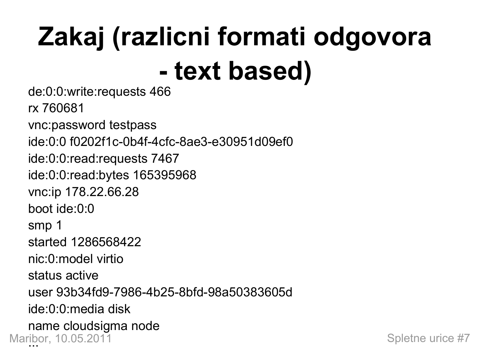# **Zakaj (razlicni formati odgovora - text based)**

Maribor, 10.05.2011 Spletne urice #7 de:0:0:write:requests 466 rx 760681 vnc:password testpass ide:0:0 f0202f1c-0b4f-4cfc-8ae3-e30951d09ef0 ide:0:0:read:requests 7467 ide:0:0:read:bytes 165395968 vnc:ip 178.22.66.28 boot ide:0:0 smp 1 started 1286568422 nic:0:model virtio status active user 93b34fd9-7986-4b25-8bfd-98a50383605d ide:0:0:media disk name cloudsigma node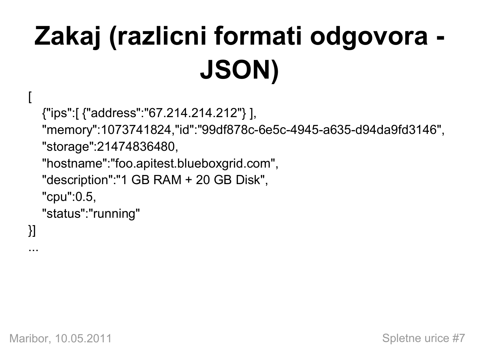# **Zakaj (razlicni formati odgovora - JSON)**

```
 {"ips":[ {"address":"67.214.214.212"} ],
 "memory":1073741824,"id":"99df878c-6e5c-4945-a635-d94da9fd3146",
 "storage":21474836480,
 "hostname":"foo.apitest.blueboxgrid.com",
 "description":"1 GB RAM + 20 GB Disk",
 "cpu":0.5,
 "status":"running"
```
...

}]

[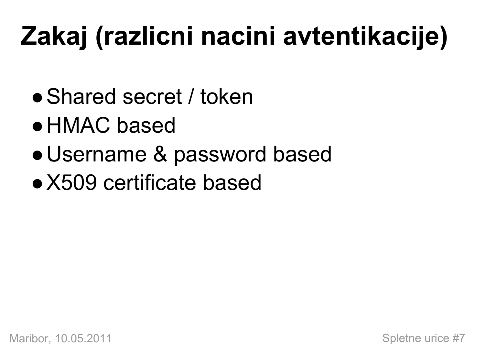## **Zakaj (razlicni nacini avtentikacije)**

- Shared secret / token
- HMAC based
- Username & password based
- X509 certificate based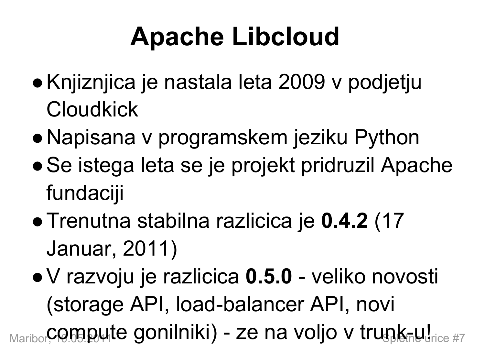## **Apache Libcloud**

- ●Knjiznjica je nastala leta 2009 v podjetju **Cloudkick**
- Napisana v programskem jeziku Python
- Se istega leta se je projekt pridruzil Apache fundaciji
- ●Trenutna stabilna razlicica je **0.4.2** (17 Januar, 2011)
- ●V razvoju je razlicica **0.5.0** veliko novosti (storage API, load-balancer API, novi

Maribor, COMPUTE gonilniki) - ze na voljo v trunk-ulrice #7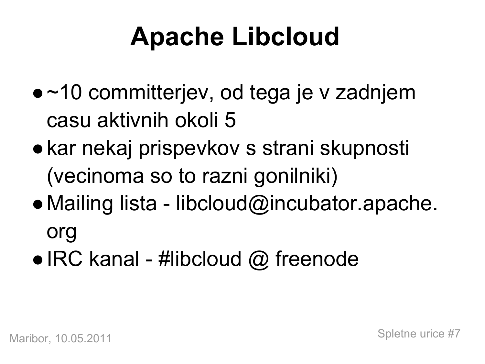## **Apache Libcloud**

- ●~10 committerjev, od tega je v zadnjem casu aktivnih okoli 5
- ●kar nekaj prispevkov s strani skupnosti (vecinoma so to razni gonilniki)
- $\bullet$  Mailing lista libcloud@incubator.apache. org
- IRC kanal #libcloud @ freenode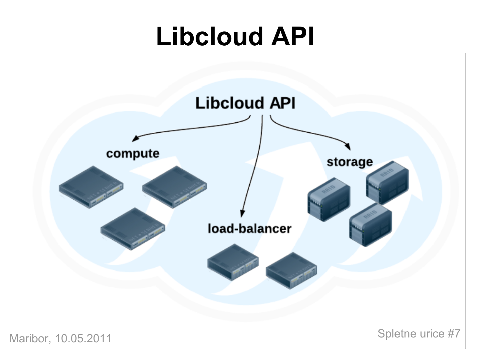#### **Libcloud API**



Spletne urice #7 Maribor, 10.05.2011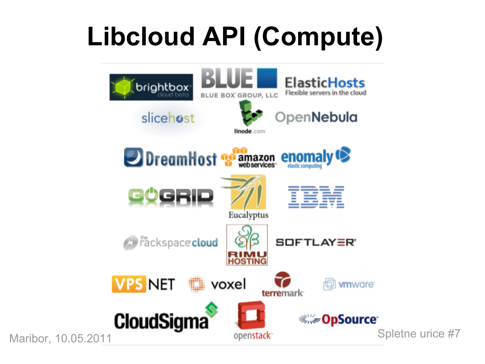## **Libcloud API (Compute)**

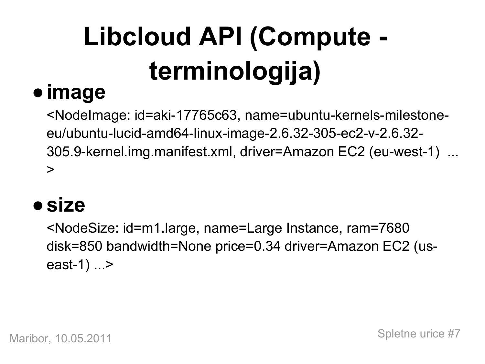# **Libcloud API (Compute terminologija)**

#### **●image**

<NodeImage: id=aki-17765c63, name=ubuntu-kernels-milestoneeu/ubuntu-lucid-amd64-linux-image-2.6.32-305-ec2-v-2.6.32- 305.9-kernel.img.manifest.xml, driver=Amazon EC2 (eu-west-1) ... >

#### **●size**

<NodeSize: id=m1.large, name=Large Instance, ram=7680 disk=850 bandwidth=None price=0.34 driver=Amazon EC2 (useast-1) ...>

Spletne urice #7 Maribor, 10.05.2011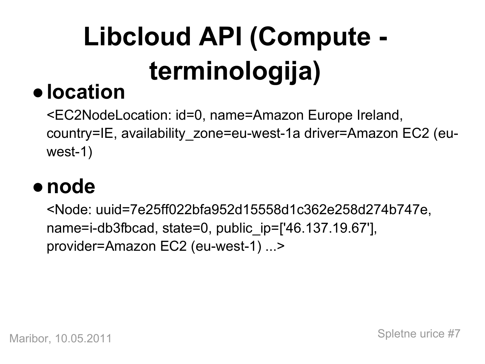#### **Libcloud API (Compute terminologija) ●location**

<EC2NodeLocation: id=0, name=Amazon Europe Ireland, country=IE, availability\_zone=eu-west-1a driver=Amazon EC2 (euwest-1)

#### **●node**

<Node: uuid=7e25ff022bfa952d15558d1c362e258d274b747e, name=i-db3fbcad, state=0, public\_ip=['46.137.19.67'], provider=Amazon EC2 (eu-west-1) ...>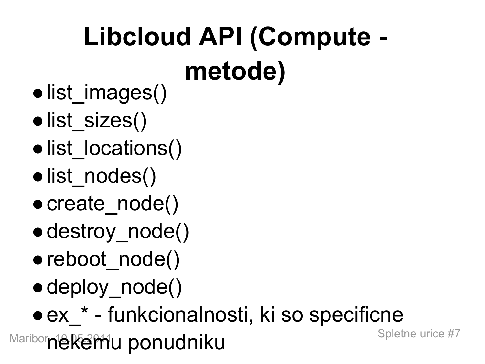# **Libcloud API (Compute metode)**

- list images()
- list\_sizes()
- list locations()
- list\_nodes()
- create\_node()
- destroy node()
- reboot\_node()
- $\bullet$  deploy node()

Maribor<sub>n'e</sub> Remu ponudniku spletne urice #7 • ex \* - funkcionalnosti, ki so specificne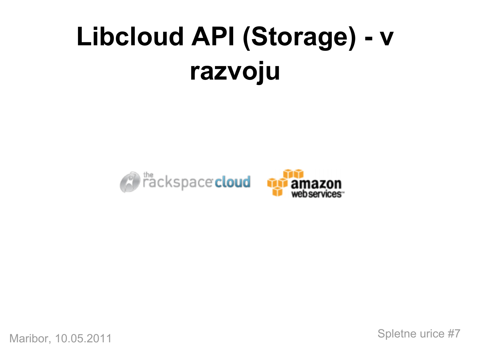## **Libcloud API (Storage) - v razvoju**



Maribor, 10.05.2011 Spletne urice #7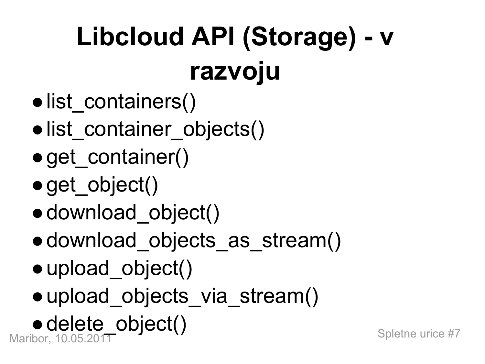# **Libcloud API (Storage) - v razvoju**

- list\_containers()
- list container objects()
- ●get\_container()
- get object()
- download object()
- download objects as stream()
- ●upload\_object()
- ●upload\_objects\_via\_stream()
- Maribor, 10.05.2017 ●delete\_object()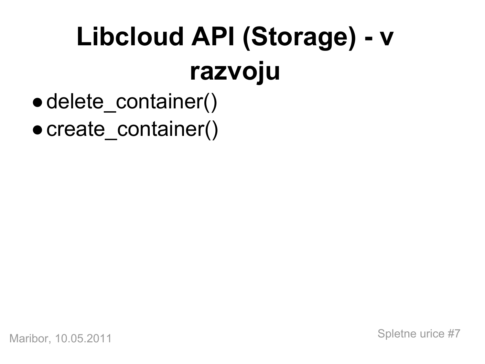# **Libcloud API (Storage) - v razvoju**

- delete container()
- create container()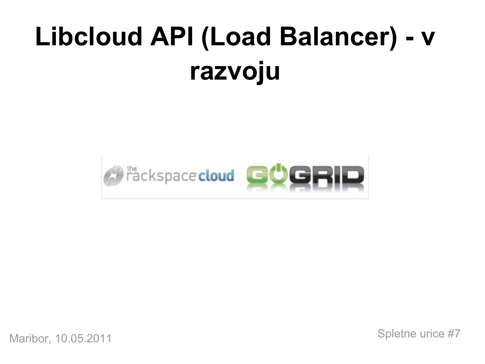## **Libcloud API (Load Balancer) - v razvoju**



Spletne urice #7 Maribor, 10.05.2011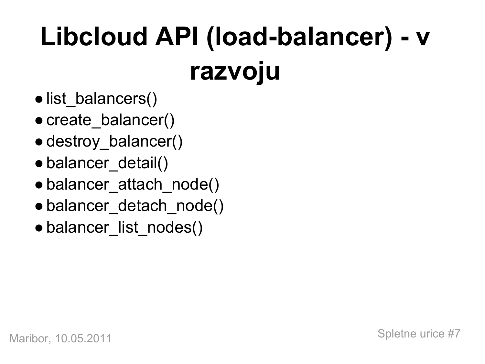# **Libcloud API (load-balancer) - v razvoju**

- list balancers()
- create balancer()
- destroy balancer()
- balancer detail()
- balancer attach node()
- balancer detach node()
- balancer list nodes()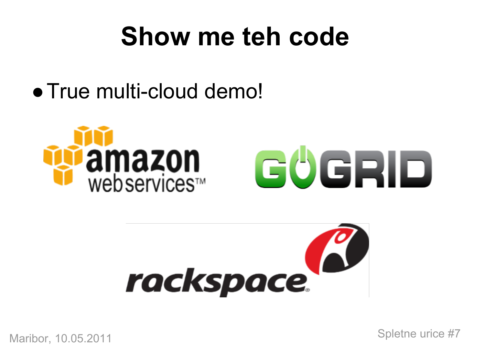●True multi-cloud demo!





Spletne urice #7 Maribor, 10.05.2011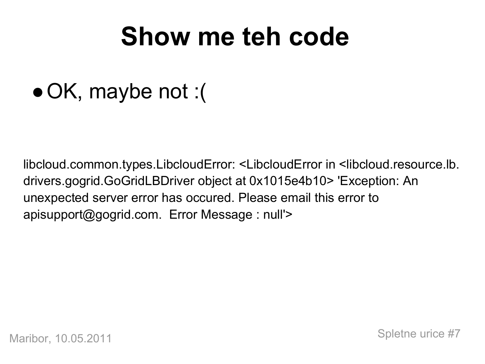#### • OK, maybe not : (

libcloud.common.types.LibcloudError: <LibcloudError in <libcloud.resource.lb. drivers.gogrid.GoGridLBDriver object at 0x1015e4b10> 'Exception: An unexpected server error has occured. Please email this error to apisupport@gogrid.com. Error Message : null'>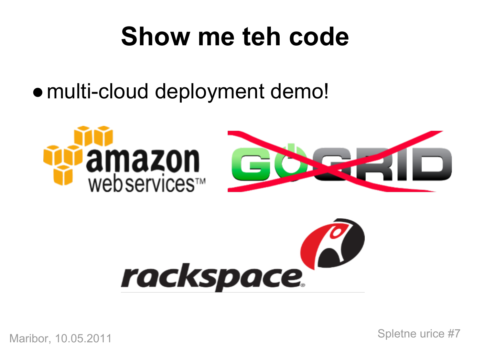●multi-cloud deployment demo!





Spletne urice #7 Maribor, 10.05.2011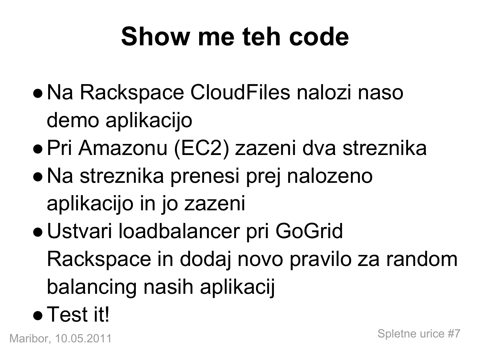- ●Na Rackspace CloudFiles nalozi naso demo aplikacijo
- ●Pri Amazonu (EC2) zazeni dva streznika
- ●Na streznika prenesi prej nalozeno aplikacijo in jo zazeni
- ●Ustvari loadbalancer pri GoGrid Rackspace in dodaj novo pravilo za random balancing nasih aplikacij
- ●Test it!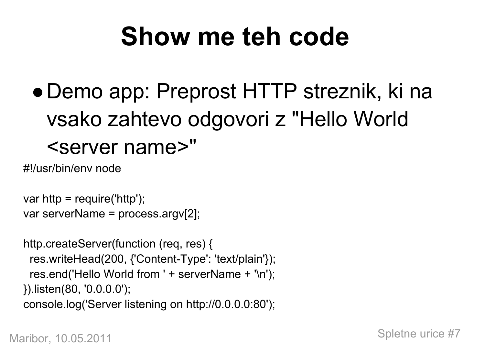#### ●Demo app: Preprost HTTP streznik, ki na vsako zahtevo odgovori z "Hello World <server name>"

#!/usr/bin/env node

```
var http = require('http');
var serverName = process.argv[2];
```

```
http.createServer(function (req, res) {
  res.writeHead(200, {'Content-Type': 'text/plain'});
 res.end('Hello World from ' + serverName + '\n');
}).listen(80, '0.0.0.0');
console.log('Server listening on http://0.0.0.0:80');
```
Spletne urice #7 Maribor, 10.05.2011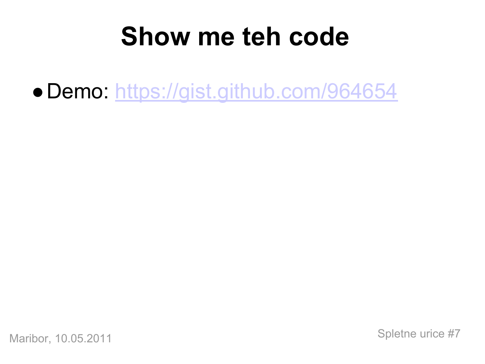● Demo: <https://gist.github.com/964654>

Maribor, 10.05.2011 Spletne urice #7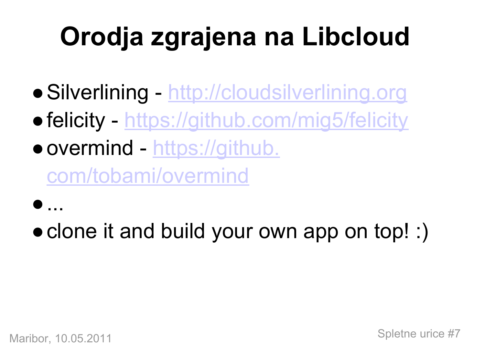## **Orodja zgrajena na Libcloud**

- ●Silverlining -<http://cloudsilverlining.org>
- felicity -<https://github.com/mig5/felicity>
- ●overmind [https://github.](https://github.com/tobami/overmind) [com/tobami/overmind](https://github.com/tobami/overmind)
- ●...
- clone it and build your own app on top! :)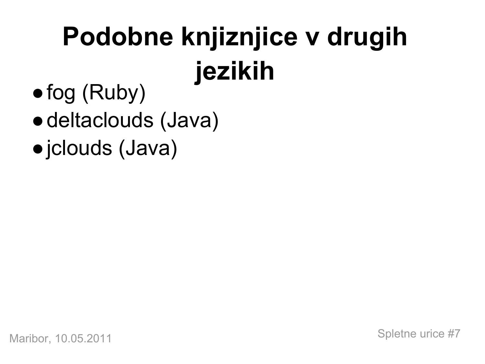# **Podobne knjiznjice v drugih jezikih**

- ●fog (Ruby)
- ●deltaclouds (Java)
- ●jclouds (Java)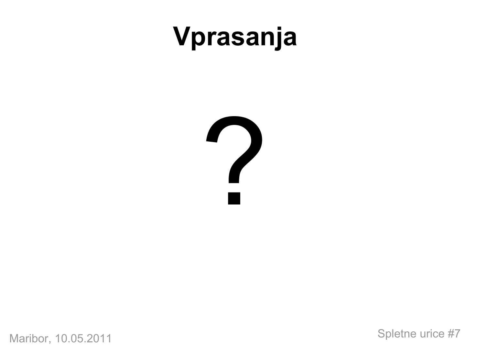#### **Vprasanja**



Maribor, 10.05.2011 Spletne urice #7